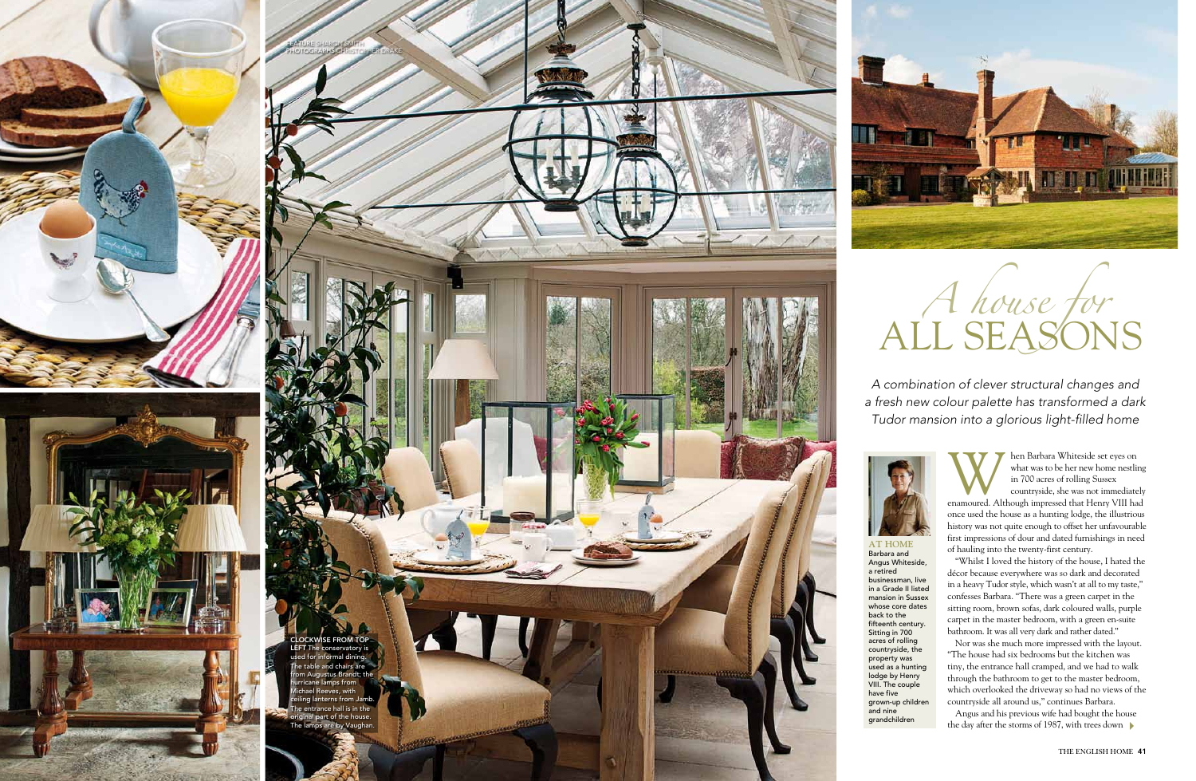*A combination of clever structural changes and a fresh new colour palette has transformed a dark Tudor mansion into a glorious light-filled home*



Whiteside set eyes on<br>
what was to be her new home nestling<br>
in 700 acres of rolling Sussex<br>
countryside, she was not immediately<br>
enamoured. Although impressed that Henry VIII had what was to be her new home nestling in 700 acres of rolling Sussex countryside, she was not immediately

once used the house as a hunting lodge, the illustrious history was not quite enough to offset her unfavourable first impressions of dour and dated furnishings in need of hauling into the twenty-first century.

Angus and his previous wife had bought the house the day after the storms of 1987, with trees down

"Whilst I loved the history of the house, I hated the décor because everywhere was so dark and decorated in a heavy Tudor style, which wasn't at all to my taste,' confesses Barbara. "There was a green carpet in the sitting room, brown sofas, dark coloured walls, purple carpet in the master bedroom, with a green en-suite bathroom. It was all very dark and rather dated."

**AT HOME** Barbara and Angus Whiteside, a retired businessman, live in a Grade II listed mansion in Sussex whose core dates back to the fifteenth century. Sitting in 700 acres of rolling countryside, the property was used as a hunting lodge by Henry VIII. The couple have five grown-up children and nine grandchildren



Nor was she much more impressed with the layout. "The house had six bedrooms but the kitchen was tiny, the entrance hall cramped, and we had to walk through the bathroom to get to the master bedroom, which overlooked the driveway so had no views of the countryside all around us," continues Barbara.









# ALL SEASONS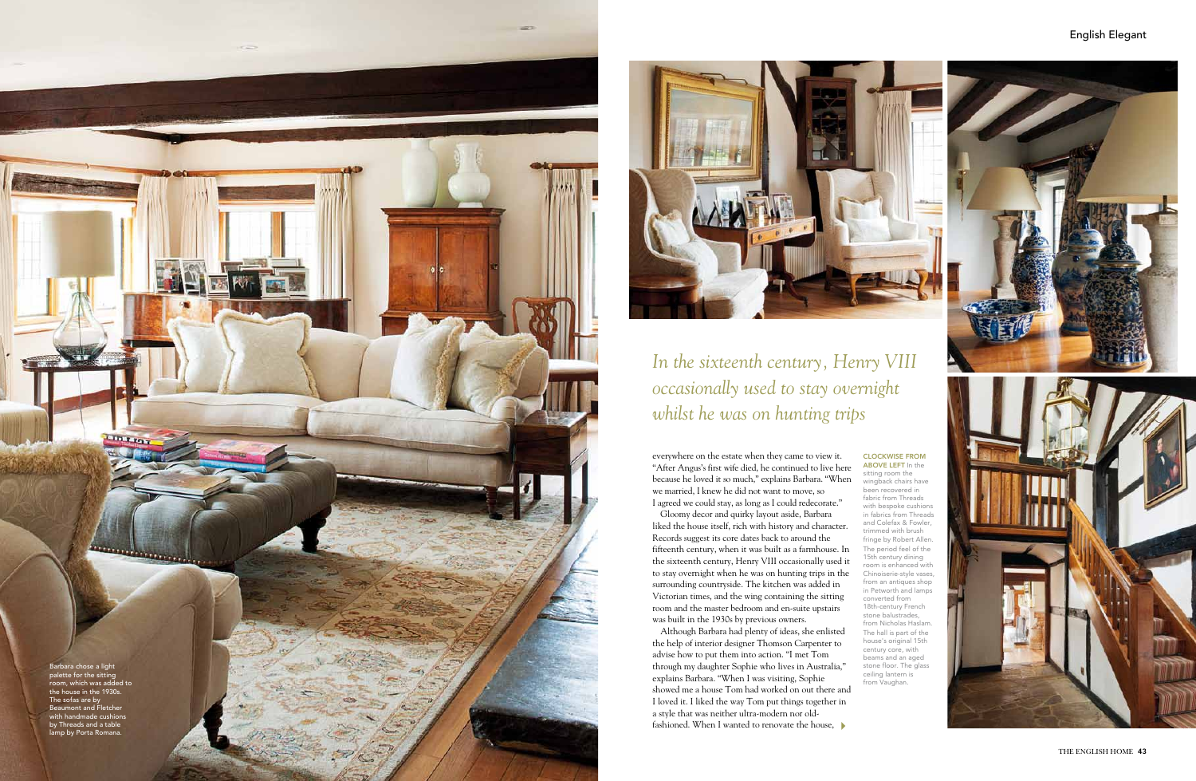everywhere on the estate when they came to view it. "After Angus's first wife died, he continued to live here because he loved it so much," explains Barbara. "When we married, I knew he did not want to move, so I agreed we could stay, as long as I could redecorate."

Gloomy decor and quirky layout aside, Barbara liked the house itself, rich with history and character. Records suggest its core dates back to around the fifteenth century, when it was built as a farmhouse. In the sixteenth century, Henry VIII occasionally used it to stay overnight when he was on hunting trips in the surrounding countryside. The kitchen was added in Victorian times, and the wing containing the sitting room and the master bedroom and en-suite upstairs was built in the 1930s by previous owners.

# **CLOCKWISE FROM ABOVE LEFT** In the o

Although Barbara had plenty of ideas, she enlisted the help of interior designer Thomson Carpenter to advise how to put them into action. "I met Tom through my daughter Sophie who lives in Australia," explains Barbara. "When I was visiting, Sophie showed me a house Tom had worked on out there and I loved it. I liked the way Tom put things together in a style that was neither ultra-modern nor oldfashioned. When I wanted to renovate the house,

clockwise from

sitting room the wingback chairs have been recovered in fabric from Threads with bespoke cushions in fabrics from Threads and Colefax & Fowler, trimmed with brush fringe by Robert Allen. The period feel of the 15th century dining room is enhanced with Chinoiserie-style vases, from an antiques shop in Petworth and lamps converted from 18th-century French stone balustrades, from Nicholas Haslam. The hall is part of the house's original 15th century core, with beams and an aged stone floor. The glass ceiling lantern is from Vaughan.



# English Elegant



*occasionally used to stay overnight whilst he was on hunting trips*

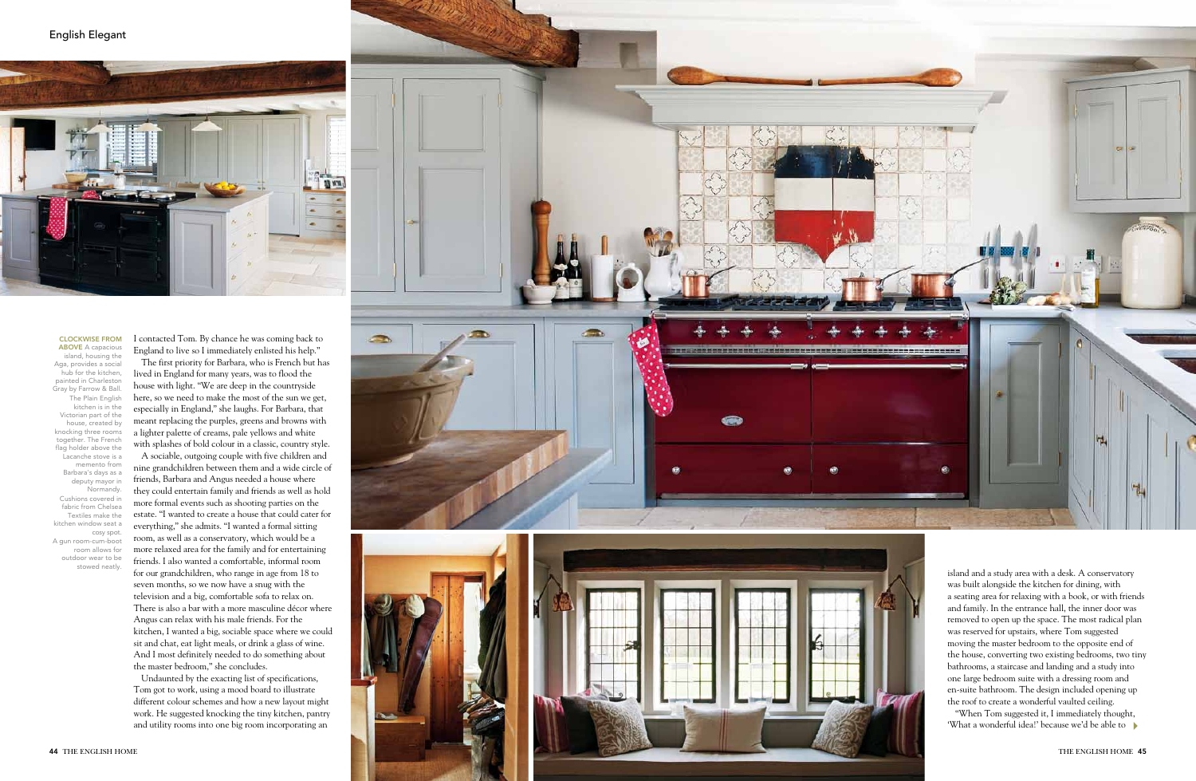I contacted Tom. By chance he was coming back to England to live so I immediately enlisted his help."

The first priority for Barbara, who is French but has lived in England for many years, was to flood the house with light. "We are deep in the countryside here, so we need to make the most of the sun we get, especially in England," she laughs. For Barbara, that meant replacing the purples, greens and browns with a lighter palette of creams, pale yellows and white with splashes of bold colour in a classic, country style. A sociable, outgoing couple with five children and nine grandchildren between them and a wide circle of friends, Barbara and Angus needed a house where they could entertain family and friends as well as hold more formal events such as shooting parties on the estate. "I wanted to create a house that could cater for everything," she admits. "I wanted a formal sitting room, as well as a conservatory, which would be a more relaxed area for the family and for entertaining friends. I also wanted a comfortable, informal room for our grandchildren, who range in age from 18 to seven months, so we now have a snug with the television and a big, comfortable sofa to relax on. There is also a bar with a more masculine décor where Angus can relax with his male friends. For the kitchen, I wanted a big, sociable space where we could sit and chat, eat light meals, or drink a glass of wine. And I most definitely needed to do something about the master bedroom," she concludes.

## **CLOCKWISE FROM** clockwise from

**ABOVE** A capacious o island, housing the Aga, provides a social hub for the kitchen, painted in Charlesto Gray by Farrow & Ball. The Plain English kitchen is in the Victorian part of the house, created by knocking three rooms together. The French flag holder above the Lacanche stove is a memento from Barbara's days as a deputy mayor in Normandy. Cushions covered in fabric from Chelsea Textiles make the kitchen window seat a cosy spot. A gun room-cum-boot room allows for outdoor wear to be stowed neatly

> Undaunted by the exacting list of specifications, Tom got to work, using a mood board to illustrate different colour schemes and how a new layout might work. He suggested knocking the tiny kitchen, pantry and utility rooms into one big room incorporating an